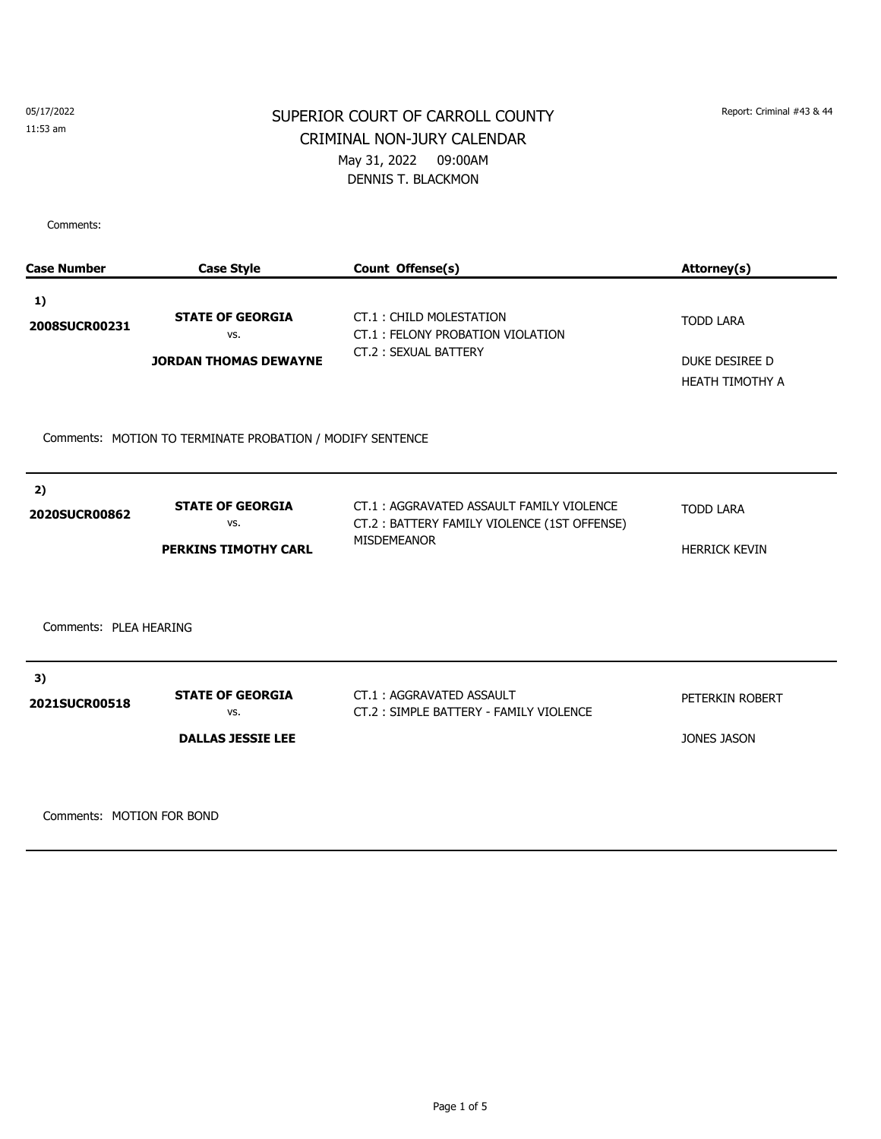# SUPERIOR COURT OF CARROLL COUNTY Report: Criminal #43 & 44 CRIMINAL NON-JURY CALENDAR May 31, 2022 09:00AM DENNIS T. BLACKMON

Comments:

| <b>Case Style</b>                                              | Count Offense(s)                                                                                              | Attorney(s)                                                  |  |  |
|----------------------------------------------------------------|---------------------------------------------------------------------------------------------------------------|--------------------------------------------------------------|--|--|
| <b>STATE OF GEORGIA</b><br>VS.<br><b>JORDAN THOMAS DEWAYNE</b> | CT.1: CHILD MOLESTATION<br>CT.1: FELONY PROBATION VIOLATION<br>CT.2: SEXUAL BATTERY                           | <b>TODD LARA</b><br>DUKE DESIREE D<br><b>HEATH TIMOTHY A</b> |  |  |
| Comments: MOTION TO TERMINATE PROBATION / MODIFY SENTENCE      |                                                                                                               |                                                              |  |  |
| <b>STATE OF GEORGIA</b><br>VS.<br><b>PERKINS TIMOTHY CARL</b>  | CT.1: AGGRAVATED ASSAULT FAMILY VIOLENCE<br>CT.2: BATTERY FAMILY VIOLENCE (1ST OFFENSE)<br><b>MISDEMEANOR</b> | <b>TODD LARA</b><br><b>HERRICK KEVIN</b>                     |  |  |
| Comments: PLEA HEARING                                         |                                                                                                               |                                                              |  |  |
| <b>STATE OF GEORGIA</b><br>VS.<br><b>DALLAS JESSIE LEE</b>     | CT.1: AGGRAVATED ASSAULT<br>CT.2: SIMPLE BATTERY - FAMILY VIOLENCE                                            | PETERKIN ROBERT<br><b>JONES JASON</b>                        |  |  |
|                                                                |                                                                                                               |                                                              |  |  |

Comments: MOTION FOR BOND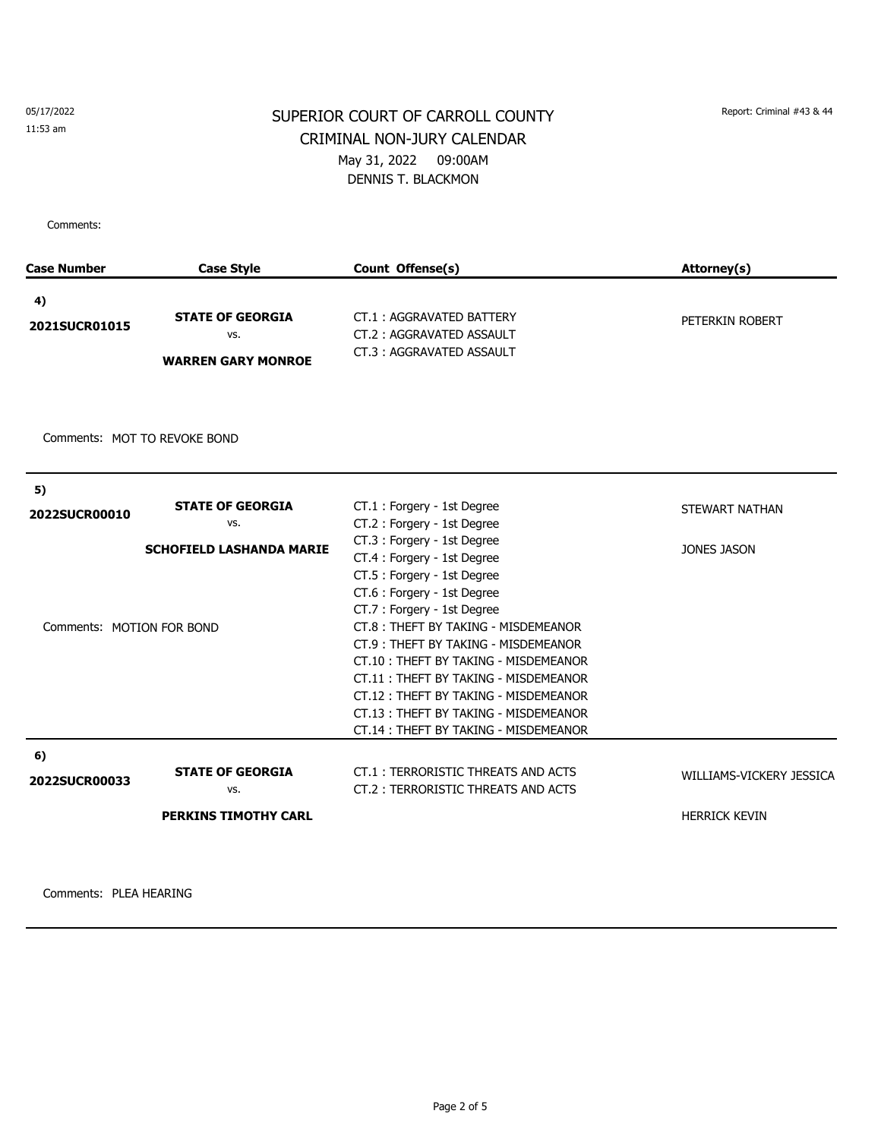# SUPERIOR COURT OF CARROLL COUNTY Report: Criminal #43 & 44 CRIMINAL NON-JURY CALENDAR May 31, 2022 09:00AM DENNIS T. BLACKMON

Comments:

| Case Number                  | <b>Case Style</b>               | Count Offense(s)                     | Attorney(s)              |
|------------------------------|---------------------------------|--------------------------------------|--------------------------|
| 4)                           |                                 |                                      |                          |
|                              | <b>STATE OF GEORGIA</b>         | CT.1: AGGRAVATED BATTERY             | PETERKIN ROBERT          |
| 2021SUCR01015                | VS.                             | CT.2: AGGRAVATED ASSAULT             |                          |
|                              | <b>WARREN GARY MONROE</b>       | CT.3: AGGRAVATED ASSAULT             |                          |
|                              |                                 |                                      |                          |
|                              |                                 |                                      |                          |
|                              |                                 |                                      |                          |
| Comments: MOT TO REVOKE BOND |                                 |                                      |                          |
|                              |                                 |                                      |                          |
| 5)                           |                                 |                                      |                          |
| 2022SUCR00010                | <b>STATE OF GEORGIA</b>         | CT.1 : Forgery - 1st Degree          | STEWART NATHAN           |
|                              | vs.                             | CT.2: Forgery - 1st Degree           |                          |
|                              | <b>SCHOFIELD LASHANDA MARIE</b> | CT.3 : Forgery - 1st Degree          | <b>JONES JASON</b>       |
|                              |                                 | CT.4 : Forgery - 1st Degree          |                          |
|                              |                                 | CT.5 : Forgery - 1st Degree          |                          |
|                              |                                 | CT.6 : Forgery - 1st Degree          |                          |
|                              |                                 | CT.7: Forgery - 1st Degree           |                          |
| Comments: MOTION FOR BOND    |                                 | CT.8: THEFT BY TAKING - MISDEMEANOR  |                          |
|                              |                                 | CT.9: THEFT BY TAKING - MISDEMEANOR  |                          |
|                              |                                 | CT.10: THEFT BY TAKING - MISDEMEANOR |                          |
|                              |                                 | CT.11: THEFT BY TAKING - MISDEMEANOR |                          |
|                              |                                 | CT.12: THEFT BY TAKING - MISDEMEANOR |                          |
|                              |                                 | CT.13: THEFT BY TAKING - MISDEMEANOR |                          |
|                              |                                 | CT.14: THEFT BY TAKING - MISDEMEANOR |                          |
| 6)                           |                                 |                                      |                          |
| 2022SUCR00033                | <b>STATE OF GEORGIA</b>         | CT.1: TERRORISTIC THREATS AND ACTS   | WILLIAMS-VICKERY JESSICA |
|                              | VS.                             | CT.2 : TERRORISTIC THREATS AND ACTS  |                          |
|                              | <b>PERKINS TIMOTHY CARL</b>     |                                      | <b>HERRICK KEVIN</b>     |
|                              |                                 |                                      |                          |
|                              |                                 |                                      |                          |

Comments: PLEA HEARING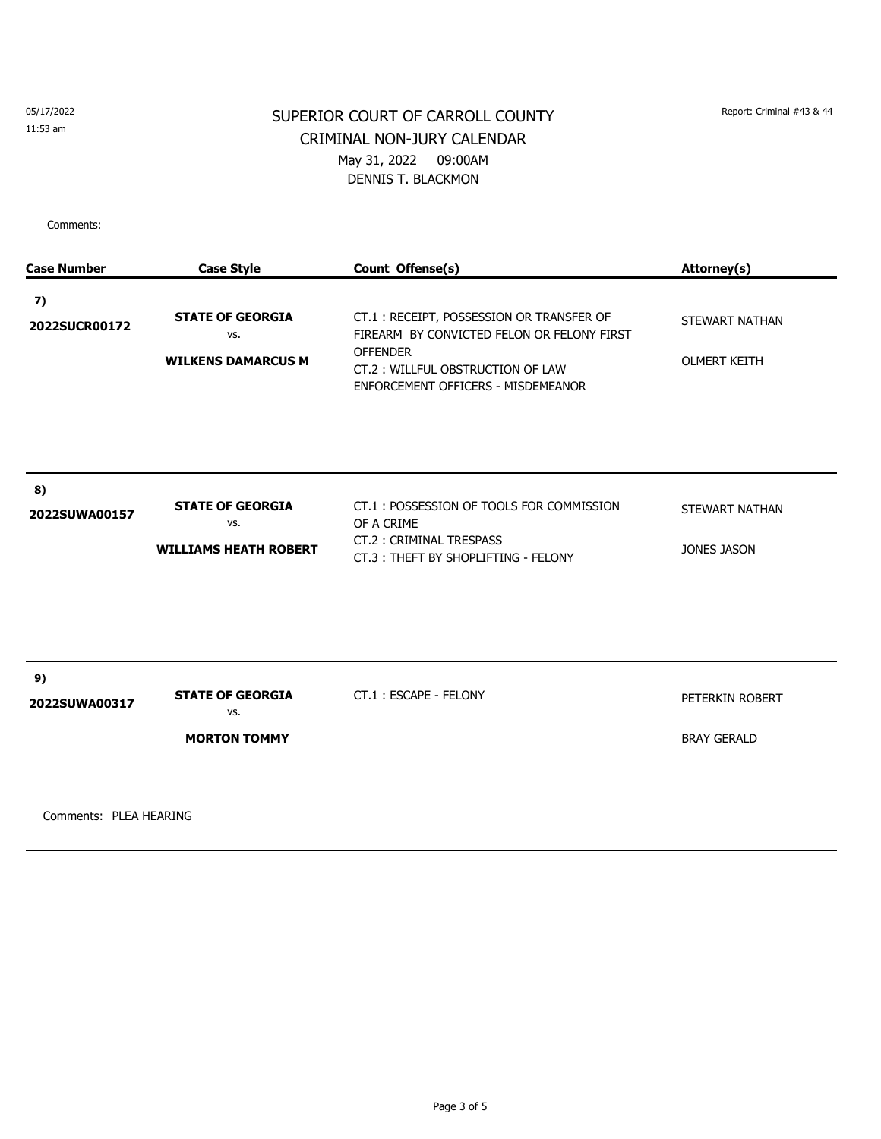# SUPERIOR COURT OF CARROLL COUNTY Report: Criminal #43 & 44 CRIMINAL NON-JURY CALENDAR May 31, 2022 09:00AM DENNIS T. BLACKMON

Comments:

| <b>Case Number</b>  | <b>Case Style</b>                                              | Count Offense(s)                                                                                                                                                                    | Attorney(s)                           |
|---------------------|----------------------------------------------------------------|-------------------------------------------------------------------------------------------------------------------------------------------------------------------------------------|---------------------------------------|
| 7)<br>2022SUCR00172 | <b>STATE OF GEORGIA</b><br>VS.<br><b>WILKENS DAMARCUS M</b>    | CT.1: RECEIPT, POSSESSION OR TRANSFER OF<br>FIREARM BY CONVICTED FELON OR FELONY FIRST<br><b>OFFENDER</b><br>CT.2: WILLFUL OBSTRUCTION OF LAW<br>ENFORCEMENT OFFICERS - MISDEMEANOR | STEWART NATHAN<br><b>OLMERT KEITH</b> |
| 8)<br>2022SUWA00157 | <b>STATE OF GEORGIA</b><br>VS.<br><b>WILLIAMS HEATH ROBERT</b> | CT.1: POSSESSION OF TOOLS FOR COMMISSION<br>OF A CRIME<br>CT.2: CRIMINAL TRESPASS<br>CT.3: THEFT BY SHOPLIFTING - FELONY                                                            | STEWART NATHAN<br>JONES JASON         |
| 9)<br>2022SUWA00317 | <b>STATE OF GEORGIA</b><br>VS.<br><b>MORTON TOMMY</b>          | CT.1: ESCAPE - FELONY                                                                                                                                                               | PETERKIN ROBERT<br><b>BRAY GERALD</b> |

Comments: PLEA HEARING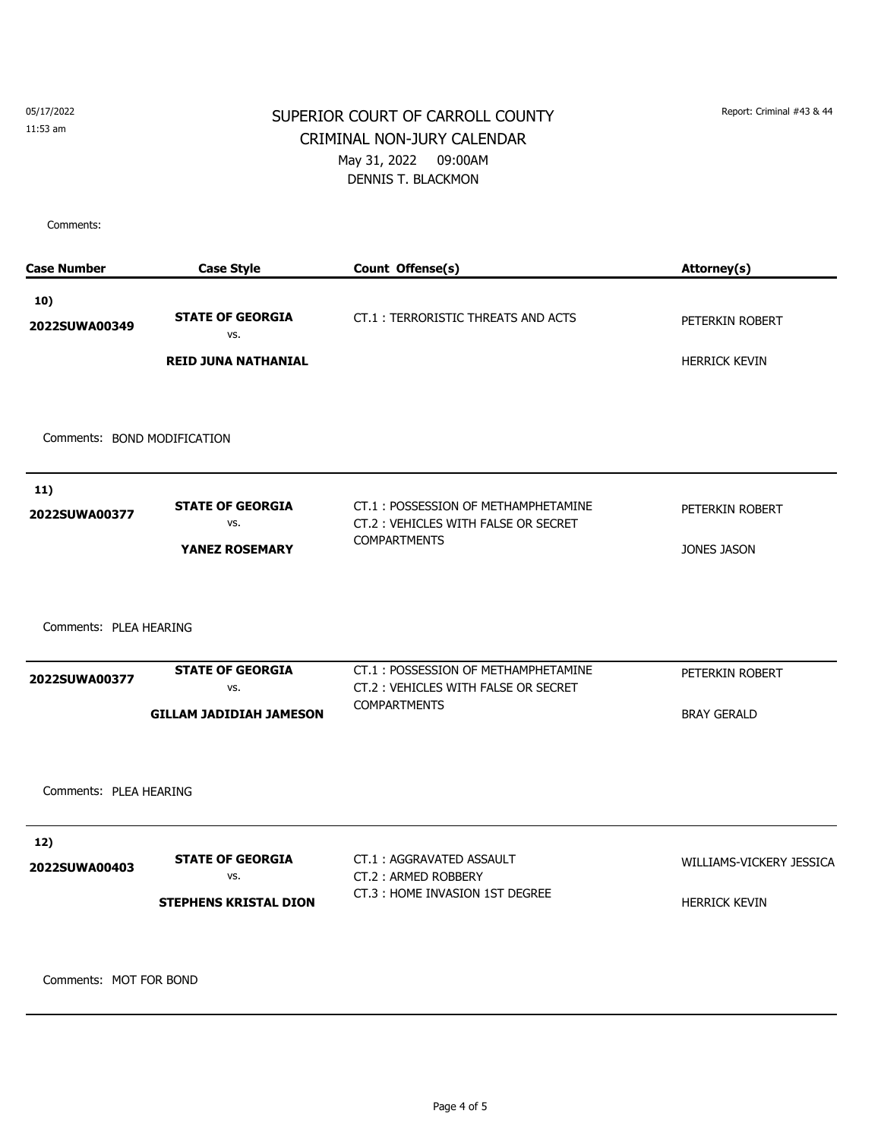# SUPERIOR COURT OF CARROLL COUNTY Report: Criminal #43 & 44 CRIMINAL NON-JURY CALENDAR May 31, 2022 09:00AM DENNIS T. BLACKMON

Comments:

| <b>Case Number</b>                      | <b>Case Style</b>                                                | Count Offense(s)                                                                                  | Attorney(s)                           |
|-----------------------------------------|------------------------------------------------------------------|---------------------------------------------------------------------------------------------------|---------------------------------------|
| 10)<br>2022SUWA00349                    | <b>STATE OF GEORGIA</b><br>vs.                                   | CT.1: TERRORISTIC THREATS AND ACTS                                                                | PETERKIN ROBERT                       |
|                                         | <b>REID JUNA NATHANIAL</b>                                       |                                                                                                   | <b>HERRICK KEVIN</b>                  |
| Comments: BOND MODIFICATION             |                                                                  |                                                                                                   |                                       |
| 11)                                     |                                                                  |                                                                                                   |                                       |
| 2022SUWA00377                           | <b>STATE OF GEORGIA</b><br>VS.                                   | CT.1: POSSESSION OF METHAMPHETAMINE<br>CT.2: VEHICLES WITH FALSE OR SECRET                        | PETERKIN ROBERT                       |
|                                         | <b>YANEZ ROSEMARY</b>                                            | <b>COMPARTMENTS</b>                                                                               | <b>JONES JASON</b>                    |
| Comments: PLEA HEARING<br>2022SUWA00377 | <b>STATE OF GEORGIA</b><br>VS.<br><b>GILLAM JADIDIAH JAMESON</b> | CT.1: POSSESSION OF METHAMPHETAMINE<br>CT.2: VEHICLES WITH FALSE OR SECRET<br><b>COMPARTMENTS</b> | PETERKIN ROBERT<br><b>BRAY GERALD</b> |
| Comments: PLEA HEARING<br>12)           |                                                                  |                                                                                                   |                                       |
| 2022SUWA00403                           | <b>STATE OF GEORGIA</b>                                          | CT.1: AGGRAVATED ASSAULT                                                                          | WILLIAMS-VICKERY JESSICA              |
|                                         | VS.<br><b>STEPHENS KRISTAL DION</b>                              | CT.2: ARMED ROBBERY<br>CT.3 : HOME INVASION 1ST DEGREE                                            | <b>HERRICK KEVIN</b>                  |
| Comments: MOT FOR BOND                  |                                                                  |                                                                                                   |                                       |